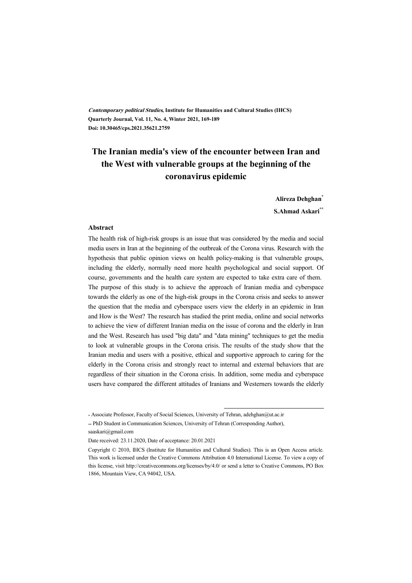**Contemporary political Studies, Institute for Humanities and Cultural Studies (IHCS) Quarterly Journal, Vol. 11, No. 4, Winter 2021, 169-189 Doi: 10.30465/cps.2021.35621.2759**

# **The Iranian media's view of the encounter between Iran and the West with vulnerable groups at the beginning of the coronavirus epidemic**

**Alireza Dehghan\***

**S.Ahmad Askari\*\***

#### **Abstract**

The health risk of high-risk groups is an issue that was considered by the media and social media users in Iran at the beginning of the outbreak of the Corona virus. Research with the hypothesis that public opinion views on health policy-making is that vulnerable groups, including the elderly, normally need more health psychological and social support. Of course, governments and the health care system are expected to take extra care of them. The purpose of this study is to achieve the approach of Iranian media and cyberspace towards the elderly as one of the high-risk groups in the Corona crisis and seeks to answer the question that the media and cyberspace users view the elderly in an epidemic in Iran and How is the West? The research has studied the print media, online and social networks to achieve the view of different Iranian media on the issue of corona and the elderly in Iran and the West. Research has used "big data" and "data mining" techniques to get the media to look at vulnerable groups in the Corona crisis. The results of the study show that the Iranian media and users with a positive, ethical and supportive approach to caring for the elderly in the Corona crisis and strongly react to internal and external behaviors that are regardless of their situation in the Corona crisis. In addition, some media and cyberspace users have compared the different attitudes of Iranians and Westerners towards the elderly

:

<sup>\*</sup> Associate Professor, Faculty of Social Sciences, University of Tehran, adehghan@ut.ac.ir

<sup>\*\*</sup> PhD Student in Communication Sciences, University of Tehran (Corresponding Author), saaskari@gmail.com

Date received: 23.11.2020, Date of acceptance: 20.01.2021

Copyright © 2010, IHCS (Institute for Humanities and Cultural Studies). This is an Open Access article. This work is licensed under the Creative Commons Attribution 4.0 International License. To view a copy of this license, visit http://creativecommons.org/licenses/by/4.0/ or send a letter to Creative Commons, PO Box 1866, Mountain View, CA 94042, USA.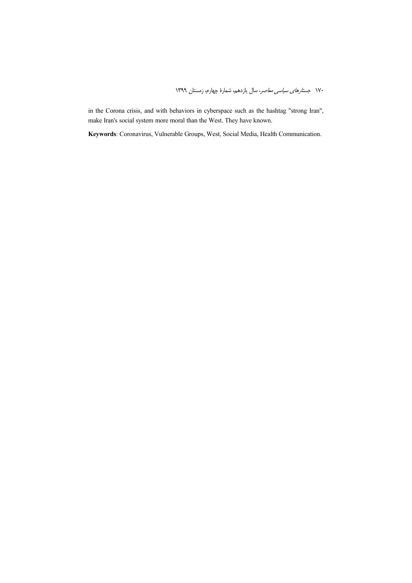in the Corona crisis, and with behaviors in cyberspace such as the hashtag "strong Iran", make Iran's social system more moral than the West. They have known.

**Keywords**: Coronavirus, Vulnerable Groups, West, Social Media, Health Communication.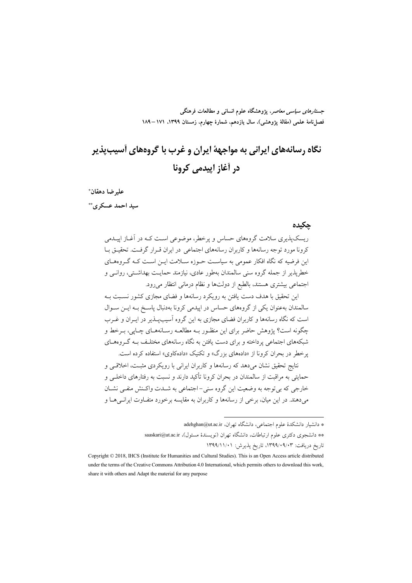جس*تارهای سیاسی معاصر*، پژوهشگاه علوم انسانی و مطالعات فرهنگی فصل نامة علمي (مقالة يژوهشي)، سال يازدهم، شمارة چهارم، زمستان ١٣٩٩، ١٧١ –١٨٩

# نگاه رسانههای ایرانی به مواجههٔ ایران و غرب با گروههای آسیبیذیر در أغاز اييدمي كرونا

عليرضا دهقان\* سند احمد عسکری \*\*

حكىدە

ریسک پذیری سلامت گروههای حساس و پرخطر، موضوعی است کـه در آغــاز اییــدمی کرونا مورد توجه رسانهها و کاربران رسانههای اجتماعی در ایران قـرار گرفـت. تحقیـق بــا این فرضیه که نگاه افکار عمومی به سیاست حـوزه سـلامت ایــن اسـت کـه گــروههـای خطریذیر از جمله گروه سنی سالمندان بهطور عادی، نیازمند حمایـت بهداشـتی، روانــی و اجتماعی بیشتری هستند، بالطبع از دولتها و نظام درمانی انتظار میرود.

این تحقیق با هدف دست یافتن به رویکرد رسانهها و فضای مجازی کشور نسبت بـه سالمندان بهعنوان یکی از گروههای حساس در اییدمی کرونا بهدنبال یاسـخ بـه ایــن ســوال است که نگاه رسانهها و کاربران فضای مجازی به این گروه آسیبیــذیر در ایــران و غــرب .<br>چگونه است؟ پژوهش حاضر برای این منظـور بـه مطالعـه رسـانههـای چـایی، بـرخط و شبکههای اجتماعی یرداخته و برای دست یافتن به نگاه رسانههای مختلـف بـه گـروههـای پرخطر در بحران کرونا از «دادههای بزرگ» و تکنیک «دادهکاوی» استفاده کرده است.

نتایج تحقیق نشان میدهد که رسانهها و کاربران ایرانی با رویکردی مثبت، اخلاقی و حمایتی به مراقبت از سالمندان در بحران کرونا تأکید دارند و نسبت به رفتارهای داخلـی و خارجی که بی توجه به وضعیت این گروه سنی-اجتماعی به شـدت واکـنش منفـی نشـان می دهند. در این میان، برخی از رسانهها و کاربران به مقایسه برخورد متفــاوت ایرانــی هــا و

\* دانشیار دانشکدهٔ علوم اجتماعی، دانشگاه تهران، adehghan@ut.ac.ir

\*\* دانشجوی دکتری علوم ارتباطات، دانشگاه تهران (نویسندهٔ مسئول)، saaskari@ut.ac.ir تاريخ دريافت: ۰۹/۰۹/۰۹/۰۳۹۹، تاريخ پذيرش: ۱۳۹۹/۱۱/۰۱

Copyright © 2018, IHCS (Institute for Humanities and Cultural Studies). This is an Open Access article distributed under the terms of the Creative Commons Attribution 4.0 International, which permits others to download this work, share it with others and Adapt the material for any purpose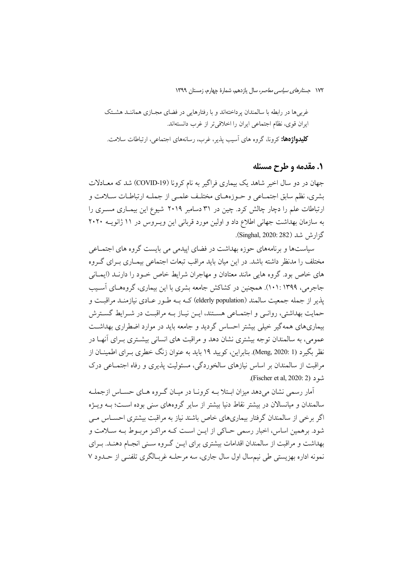غربی ها در رابطه با سالمندان یرداختهاند و با رفتارهایی در فضای مجـازی هماننـد هشـتک ايران قوى، نظام اجتماعي ايران را اخلاقي تر از غرب دانستهاند. **کلیدواژهها:** کرونا، گروه های آسیب پذیر، غرب، رسانههای اجتماعی، ارتباطات سلامت.

#### ۱. مقدمه و طرح مسئله

جهان در دو سال اخیر شاهد یک بیماری فراگیر به نام کرونا (COVID-19) شد که معـادلات بشري، نظم سابق اجتمـاعي و حـوزههـاي مختلـف علمـي از جملـه ارتباطـات سـلامت و ارتباطات علم را دچار چالش کرد. چین در ۳۱ دسامبر ۲۰۱۹ شیوع این بیمـاری مسـری را به سازمان بهداشت جهانی اطلاع داد و اولین مورد قربانی این ویـروس در ١١ ژانویــه ٢٠٢٠ گزارش شد (Singhal, 2020: 282).

سیاستها و برنامههای حوزه بهداشت در فضای ایپدمی می بایست گروه های اجتمـاعی مختلف را مدنظر داشته باشد. در این میان باید مراقب تبعات اجتماعی بیمـاری بـرای گـروه های خاص بود. گروه هایی مانند معتادان و مهاجران شرایط خاص خـود را دارنــد (ایمــانی جاجرمی، ۱۳۹۹ :۱۰۱). همچنین در کشاکش جامعه بشری با این بیماری، گروههـای آسـیب یذیر از جمله جمعیت سالمند (elderly population) کــه بــه طــور عــادی نیازمنــد مراقبــت و حمایت بهداشتی، روانبی و اجتماعی هستند، ایـن نیـاز بـه مراقبـت در شـرایط گسـترش بیماریهای همه گیر خیلی بیشتر احساس گردید و جامعه باید در موارد اضطراری مهداشـت عمومی، به سالمندان توجه بیشتری نشان دهد و مراقبت های انسانی بیشــتری بــرای اَنهــا در نظر بگیرد (Meng, 2020: 1). بنابراین، کویید ۱۹ باید به عنوان زنگ خطری بـرای اطمینــان از مراقبت از سالمندان بر اساس نیازهای سالخوردگی، مسئولیت پذیری و رفاه اجتمـاعی درک .(Fischer et al, 2020: 2).

آمار رسمی نشان می دهد میزان ابـتلا بــه کرونــا در میــان گــروه هــای حســاس ازجملــه سالمندان و میانسالان در بیشتر نقاط دنیا بیشتر از سایر گروههای سنی بوده اسـت؛ بــه ویــژه اگر برخی از سالمندان گرفتار بیماریهای خاص باشند نیاز به مراقبت بیشتری احسـاس مـی شود. برهمین اساس، اخبار رسمی حـاکی از ایــن اسـت کــه مراکـز مربـوط بــه ســلامت و بهداشت و مراقبت از سالمندان اقدامات بیشتری برای ایــن گــروه ســنی انجــام دهنــد. بــرای نمونه اداره بهزیستی طی نیم سال اول سال جاری، سه مرحلـه غربـالگری تلفنــ از حـدود ۷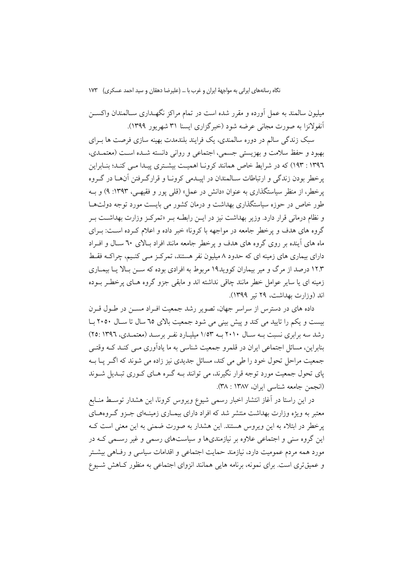میلیون سالمند به عمل آورده و مقرر شده است در تمام مراکز نگهـداری سـالمندان واکســن آنفولانزا به صورت مجانی عرضه شود (خبرگزاری ایسنا ۳۱ شهریور ۱۳۹۹).

سبک زندگی سالم در دوره سالمندی، یک فرایند بلندمدت بهینه سازی فرصت ها بـرای بهبود و حفظ سلامت و بهزيستي جسمي، اجتماعي و رواني دانسته شـده اسـت (معتمـدي، ۱۳۹٦ : ۱۹۳) که در شرایط خاص همانند کرونـا اهمیـت بیشـتری پیـدا مـی کنـد؛ بنـابراین یرخطر بودن زندگی و ارتباطات سـالمندان در ایپــدمی کرونــا و قرارگــرفتن آنهــا در گــروه یرخطر، از منظر سیاستگذاری به عنوان «دانش در عمل» (قلبی یور و فقیهی، ۱۳۹۳: ۹) و بـه طور خاص در حوزه سیاستگذاری بهداشت و درمان کشور می بایست مورد توجه دولتهـا و نظام درمانی قرار دارد. وزیر بهداشت نیز در ایــن رابطــه بــر «تمرکــز وزارت بهداشــت بــر گروه های هدف و یرخطر جامعه در مواجهه با کرونا» خبر داده و اعلام کـرده اسـت: بـرای ماه های آینده بر روی گروه های هدف و پرخطر جامعه مانند افراد بالای ٦٠ سـال و افـراد دارای بیماری های زمینه ای که حدود ۸ میلیون نفر هستند، تمرکز مـی کنـیم، چراکــه فقـط ۱۲.۳ درصد از مرگ و میر بیماران کووید۱۹ مربوط به افرادی بوده که ســن بـالا یــا بیمــاری زمینه ای یا سایر عوامل خطر مانند چاقی نداشته اند و مابقی جزو گروه هـای پرخطـر بـوده  $(11999)$ اند (وزارت بهداشت، ۲۹ تیر ۱۳۹۹).

داده های در دسترس از سراسر جهان، تصویر رشد جمعیت افـراد مســن در طــول قــرن بیست و یکم را تایید می کند و پیش بینی می شود جمعیت بالای ٦٥ سال ٢٠٥٠ با رشد سه برابری نسبت بـه سـال ۲۰۱۰ بـه ۱/۵۳ میلیـارد نفـر برسـد (معتمـدی، ۱۳۹٦) ۲۵: بنابراین، مسائل اجتماعی ایران در قلمرو جمعیت شناسی به ما یادآوری مـی کنـد کـه وقتـی جمعیت مراحل تحول خود را طی می کند، مسائل جدیدی نیز زاده می شوند که اگـر پـا بــه پای تحول جمعیت مورد توجه قرار نگیرند، می توانند بـه گـره هـای کـوری تبـدیل شـوند (انجمن جامعه شناسی ایران، ۱۳۸۷ : ۳۸).

در این راستا در آغاز انتشار اخبار رسمی شیوع ویروس کرونا، این هشدار توسط منـابع معتبر به ویژه وزارت بهداشت منتشر شد که افراد دارای بیمـاری زمینـهای جـزو گـروهمـای پرخطر در ابتلاء به این ویروس هستند. این هشدار به صورت ضمنی به این معنی است ک این گروه سنی و اجتماعی علاوه بر نیازمندیها و سیاستهای رسمی و غیر رسمی کـه در مورد همه مردم عمومیت دارد، نیازمند حمایت اجتماعی و اقدامات سیاسی و رفـاهی بیشــتر و عمیقتری است. برای نمونه، برنامه هایی همانند انزوای اجتماعی به منظور کـاهش شـیوع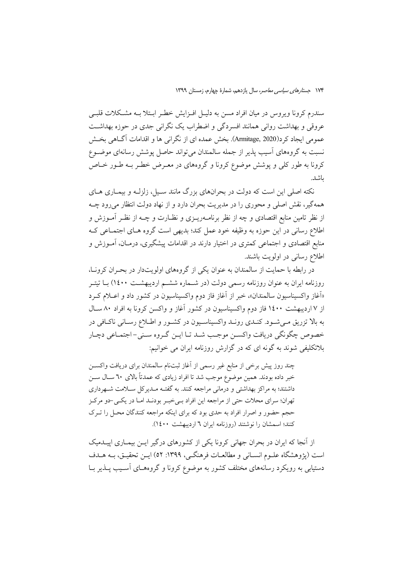سندرم کرونا ویروس در میان افراد مسن به دلیـل افـزایش خطـر ابـتلا بــه مشـکلات قلبــی عروقی و بهداشت روانی همانند افسردگی و اضطراب یک نگرانی جدی در حوزه بهداشـت عمومي ايجاد كرد(Armitage, 2020). بخش عمده اي از نگراني ها و اقدامات آگــاهي بخــش نسبت به گروههای آسیب پذیر از جمله سالمندان می تواند حاصل پوشش رسانهای موضـوع کرونا به طور کلی و پوشش موضوع کرونا و گروههای در معـرض خطـر بــه طـور خــاص ىاشد.

نکته اصلی این است که دولت در بحرانهای بزرگ مانند سـیل، زلزلـه و بیمـاری هـای همهگیر، نقش اصلی و محوری را در مدیریت بحران دارد و از نهاد دولت انتظار می رود چـه از نظر تامین منابع اقتصادی و چه از نظر برنامــهریــزی و نظــارت و چــه از نظــر آمــوزش و اطلاع رسانی در این حوزه به وظیفه خود عمل کند؛ بدیهی است گروه هـای اجتمـاعی کـه منابع اقتصادی و اجتماعی کمتری در اختیار دارند در اقدامات پیشگیری، درمـان، آمــوزش و اطلاع رساني در اولويت باشند.

در رابطه با حمایت از سالمندان به عنوان یکی از گروههای اولویتدار در بحـران کرونـا، روزنامه ایران به عنوان روزنامه رسمی دولت (در شـماره ششـم اردیبهشـت ١٤٠٠) بـا تیتـر «اَغاز واکسیناسیون سالمندان»، خبر از اَغاز فاز دوم واکسیناسیون در کشور داد و اعــلام کــرد از ۷ اردیبهشت ۱٤۰۰ فاز دوم واکسیناسیون در کشور آغاز و واکسن کرونا به افراد ۸۰ سـال به بالا تزریق مـیشـود. کنـدی رونـد واکسیناسـیون در کشـور و اطـلاع رسـانی ناکـافی در خصوص چگونگي دريافت واكسـن موجـب شـد تـا ايـن گـروه سـني-اجتمـاعي دچـار بلاتکلیفی شوند به گونه ای که در گزارش روزنامه ایران می خوانیم:

چند روز پیش برخی از منابع غیر رسمی از أغاز ثبتنام سالمندان برای دریافت واکســن خبر داده بودند. همین موضوع موجب شد تا افراد زیادی که عمدتاً بالای ٦٠ سـال ســن داشتند؛ به مراکز بهداشتی و درمانی مراجعه کنند. به گفتـه مـدیرکل سـلامت شـهرداری تهران؛ سراي محلات حتى از مراجعه اين افراد بـي خبـر بودنـد امـا در يكـي-دو مركـز حجم حضور و اصرار افراد به حدی بود که برای اینکه مراجعه کنندگان محـل را تـرک کنند؛ اسمشان را نوشتند (روزنامه ایران ٦ اردیبهشت ١٤٠٠).

از آنجا که ایران در بحران جهانی کرونا یکی از کشورهای درگیر ایــن بیمــاری اییــدمیک است (يژوهشگاه علـوم انسـاني و مطالعـات فرهنگـي، ١٣٩٩: ٥٢) ايــن تحقيــق، بــه هــدف دستیابی به رویکرد رسانههای مختلف کشور به موضوع کرونا و گروههـای آسـیب پــذیر بــا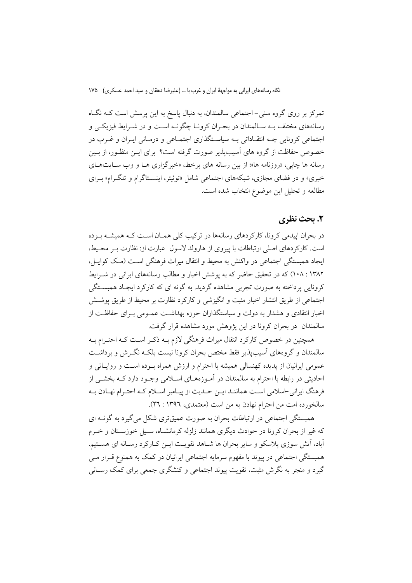تمرکز بر روی گروه سنی–اجتماعی سالمندان، به دنبال یاسخ به این پرسش است کـه نگـاه رسانههای مختلف بـه سـالمندان در بحـران کرونـا چگونـه اسـت و در شـرايط فيزيکـی و اجتماعی کرونایی چـه انتقـاداتی بـه سیاسـتگذاری اجتمـاعی و درمـانی ایـران و غـرب در خصوص حفاظت از گروه های آسیبپذیر صورت گرفته است؟ برای ایــن منظـور، از بــین رسانه ها چاپی، «روزنامه ها»؛ از بین رسانه های برخط، «خبر گزاری هـا و وب سـایتهـای خبری» و در فضای مجازی، شبکههای اجتماعی شامل «توئیتر، اینســتاگرام و تلگـرام» بـرای مطالعه و تحليل اين موضوع انتخاب شده است.

### 2. يحث نظري

در بحران اپیدمی کرونا، کارکردهای رسانهها در ترکیب کلی همـان اسـت کـه همیشـه بـوده است. کارکردهای اصلی ارتباطات با پیروی از هارولد لاسول عبارت از: نظارت بـر محـیط، ایجاد همبستگی اجتماعی در واکنش به محیط و انتقال میراث فرهنگی است (مک کوایــ) ، ۱۳۸۲ : ۱۰۸) که در تحقیق حاضر که به یوشش اخبار و مطالب رسانههای ایرانی در شــرایط کرونایی پرداخته به صورت تجربی مشاهده گردید. به گونه ای که کارکرد ایجـاد همبســتگی اجتماعي از طريق انتشار اخبار مثبت و انگيزشي و كاركرد نظارت بر محيط از طريق يوشش اخبار انتقادی و هشدار به دولت و سیاستگذاران حوزه بهداشت عمـومی بـرای حفاظـت از سالمندان در بحران کرونا در این یژوهش مورد مشاهده قرار گرفت.

همچنین در خصوص کارکرد انتقال میراث فرهنگی لازم بـه ذکـر اسـت کـه احتـرام بـه سالمندان و گروههای آسیب پذیر فقط مختص بحران کرونا نیست بلکـه نگـرش و برداشـت عمومی ایرانیان از پدیده کهنسالی همیشه با احترام و ارزش همراه بـوده اسـت و روایـاتی و احادیثی در رابطه با احترام به سالمندان در آمـوزههـای اسـلامی وجـود دارد کــه بخشــی از فرهنگ ایرانی اسلامی است همانند ایـن حـدیث از پیـامبر اسـلام کـه احتـرام نهـادن بـه سالخورده امت من احترام نهادن به من است (معتمدي، ١٣٩٦ : ٢٦).

همبستگی اجتماعی در ارتباطات بحران به صورت عمیقتری شکل می گیرد به گونـه ای که غیر از بحران کرونا در حوادث دیگری همانند زلزله کرمانشـاه، سـیل خوزسـتان و خــرم آباد، آتش سوزی پلاسکو و سایر بحران ها شباهد تقویت این کبار کرد رسیانه ای هستیم. همبستگی اجتماعی در پیوند با مفهوم سرمایه اجتماعی ایرانیان در کمک به همنوع قـرار مـی گیرد و منجر به نگرش مثبت، تقویت پیوند اجتماعی و کنشگری جمعی برای کمک رسـانی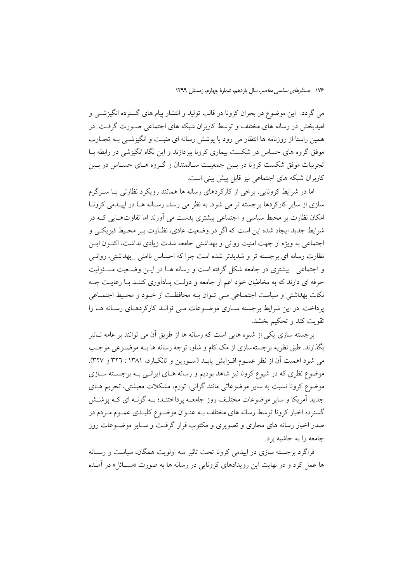می گردد. این موضوع در بحران کرونا در قالب تولید و انتشار پیام های گسترده انگیزشــی و امیدبخش در رسانه های مختلف و توسط کاربران شبکه های اجتماعی صـورت گرفـت. در همین راستا از روزنامه ها انتظار می رود با پوشش رسانه ای مثبت و انگیزشــی بــه تجــارب موفق گروه های حساس در شکست بیماری کرونا بیردازند و این نگاه انگیزشی در رابطه بــا تجربیات موفق شکست کرونا در بسین جمعیـت سـالمندان و گـروه هـای حسـاس در بـین کاربران شبکه های اجتماعی نیز قابل پیش بینی است.

اما در شرایط کرونایی، برخی از کارکردهای رسانه ها همانند رویکرد نظارتی یـا سـرگرم سازی از سایر کارکردها برجسته تر می شود. به نظر می رسد، رسـانه هـا در اییـدمی کرونـا امکان نظارت بر محیط سیاسی و اجتماعی بیشتری بدست می آورند اما تفاوتهـایی کـه در شرایط جدید ایجاد شده این است که اگر در وضعیت عادی، نظـارت بـر محـیط فیزیکـی و اجتماعی به ویژه از جهت امنیت روانی و بهداشتی جامعه شدت زیادی نداشت، اکنـون ایـن نظارت رسانه ای برجسته تر و شدیدتر شده است چرا که احساس ناامنی بهداشتی، روانبی و اجتماعی بیشتری در جامعه شکل گرفته است و رسانه هـا در ایــن وضـعیت مسـئولیت حرفه ای دارند که به مخاطبان خود اعم از جامعه و دولت پـادآوری کننـد بـا رعایـت چـه نکات بهداشتی و سیاست اجتمـاعی مـی تـوان بـه محافظـت از خـود و محـیط اجتمـاعی پرداخت. در این شرایط برجسته سـازی موضـوعات مـی توانــد کارکردهــای رســانه هــا را تقويت كند و تحكيم بخشد.

برجسته سازی یکی از شیوه هایی است که رسانه ها از طریق آن می توانند بر عامه تـاثیر بگذارند. طبق نظریه برجستهسازی از مک کام و شاو، توجه رسانه ها بـه موضـوعی موجـب می شود اهمیت آن از نظر عمـوم افـزایش یابـد (سـورین و تانکـارد، ۱۳۸۱ : ۳۲۲ و ۳۲۷). موضوع نظری که در شیوع کرونا نیز شاهد بودیم و رسانه هـای ایرانـی بـه برجسـته سـازی موضوع کرونا نسبت به سایر موضوعاتی مانند گرانی، تورم، مشکلات معیشتی، تحریم هـای جدید آمریکا و سایر موضوعات مختلـف روز جامعــه پرداختنــد؛ بــه گونــه ای کــه پوشــش گسترده اخبار کرونا توسط رسانه های مختلف بــه عنــوان موضــوع کلیــدی عمــوم مــردم در صدر اخبار رسانه های مجازی و تصویری و مکتوب قرار گرفت و سـایر موضـوعات روز جامعه را به حاشیه برد.

فراگرد برجسته سازی در ایبدمی کرونا تحت تاثیر سه اولویت همگان، سیاست و رسانه ها عمل کرد و در نهایت این رویدادهای کرونایی در رسانه ها به صورت «مســائل» در آمــده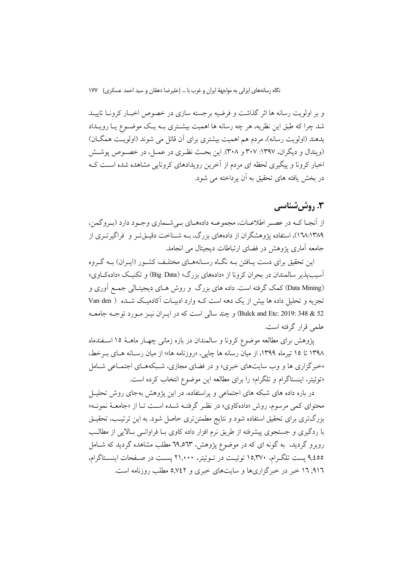و بر اولویت رسانه ها اثر گذاشت و فرضیه برجسته سازی در خصوص اخبـار کرونــا تاییــد شد چرا که طبق این نظریه، هر چه رسانه ها اهمیت بیشـتری بــه یـک موضــوع یــا رویــداد بدهند (اولویت رسانه)، مردم هم اهمیت بیشتری برای آن قائل می شوند (اولویـت همگـان) (ويندال و ديگران، ١٣٩٧: ٣٠٧ و ٣٠٨). اين بحث نظـري در عمـل، در خصـوص پوشـش اخبار کرونا و پیگیری لحظه ای مردم از آخرین رویدادهای کرونایی مشاهده شده است ک در بخش یافته های تحقیق به آن پرداخته می شود.

## ۳. روش شناسی

از أنجـا كــه در عصـر اطلاعــات، مجموعــه دادههــاي بــي شــماري وجــود دارد (بــروكمن، ۱۳۸۹/۱۳۸۹)، استفاده پژوهشگران از دادههای بزرگ، بـه شـناخت دقیـقتـر و فراگیرتـری از جامعه آماری پژوهش در فضای ارتباطات دیجیتال می انجامد.

این تحقیق برای دست پـافتن بــه نگــاه رسـانههــای مختلـف کشــور (ایــران) بــه گــروه آسیب پذیر سالمندان در بحران کرونا از «دادههای بزرگ» (Big Data) و تکنیک «دادهکاوی» (Data Mining) کمک گرفته است. داده های بزرگ و روش هـای دیجیتـالی جمـع آوری و تجزیه و تحلیل داده ها بیش از یک دهه است کـه وارد ادبیـات آکادمیـک شـده ( Van den 52 & 348 Bulck and Etc: 2019: 348 و چند سالي است كه در ايبران نيبز مبورد توجيه جامعيه علمی قرار گرفته است.

پژوهش برای مطالعه موضوع کرونا و سالمندان در بازه زمانی چهـار ماهـهٔ ۱۵ اسـفندماه ۱۳۹۸ تا ۱۵ تیرماه ۱۳۹۹، از میان رسانه ها چایی، «روزنامه ها»؛ از میان رسـانه هـای بـرخط، «خبرگزاری ها و وب سایتهای خبری» و در فضای مجازی، شـبکههـای اجتمـاعی شـامل «توئيتر، اينستاگرام و تلگرام» را براي مطالعه اين موضوع انتخاب كرده است.

در باره داده های شبکه های اجتماعی و پراستفاده، در این پژوهش بهجای روش تحلیــل محتواي كمي مرسوم، روش «دادهكاوي» در نظـر گرفتـه شـده اسـت تـا از «جامعــهٔ نمونــه» بزرگتری برای تحقیق استفاده شود و نتایج مطمئنتری حاصل شود. به این ترتیب، تحقیـق با ردگیری و جستجوی پیشرفته از طریق نرم افزار داده کاوی بـا فراوانـبی بـالایـی از مطالـب روبرو گردید، به گونه ای که در موضوع پژوهش، ٦٩٫٥٦٣ مطلب مشاهده گردید که شــامل ۹٫٤٥٥ پست تلگـرام، ۱۵٫۳۷۰ توئيــت در تــوئيتر، ۲۱٫۰۰۰ پســت در صــفحات اينســتاگرام، ۹۱٦, ۱۲ خبر در خبرگزاریها و سایتهای خبری و ۵٬۷٤۲ مطلب روزنامه است.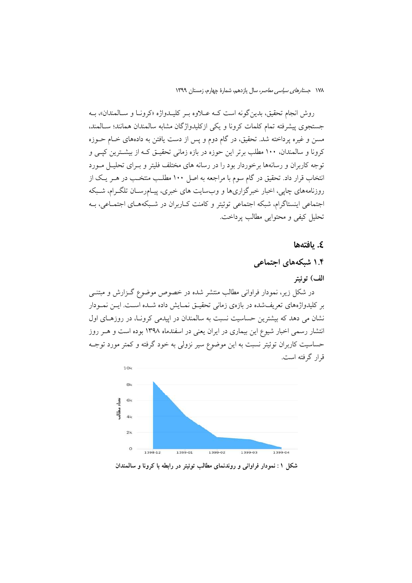روش انجام تحقيق، بدين گونه است كـه عــلاوه بـر كليــدواژه «كرونــا و ســالمندان»، بــه جستجوی پیشرفته تمام کلمات کرونا و یکی ازکلیدواژگان مشابه سالمندان همانند؛ سـالمند، مسن و غیره پرداخته شد. تحقیق، در گام دوم و پس از دست یافتن به دادههای خـام حــوزه کرونا و سالمندان، ۱۰۰ مطلب برتر این حوزه در بازه زمانی تحقیـق کـه از بیشـترین کیـی و توجه کاربران و رسانهها برخوردار بود را در رسانه های مختلف فلیتر و بـرای تحلیــل مــورد انتخاب قرار داد. تحقیق در گام سوم با مراجعه به اصل ۱۰۰ مطلب منتخـب در هـر یـک از روزنامههای چایی، اخبار خبرگزاریها و وبسایت های خبری، پیـامرسـان تلگـرام، شـبکه اجتماعی اینستاگرام، شبکه اجتماعی توئیتر و کامنت کـاربران در شـبکههـای اجتمـاعی، بـه تحليل كيفي و محتوايي مطالب يرداخت.

٤. يافتەھا

۱.۴ شبکههای اجتماعی

الف) توئيتر

در شکل زیر، نمودار فراوانی مطالب منتشر شده در خصوص موضوع گـزارش و مبتنـّـی بر کلیدواژههای تعریفشده در بازهی زمانی تحقیـق نمـایش داده شـده اسـت. ایــن نمــودار نشان می دهد که بیشترین حساسیت نسبت به سالمندان در ایپدمی کرونـا، در روزهـای اول انتشار رسمی اخبار شیوع این بیماری در ایران یعنی در اسفندماه ۱۳۹۸ بوده است و هــر روز حساسیت کاربران توئیتر نسبت به این موضوع سیر نزولی به خود گرفته و کمتر مورد توجـه قرار گرفته است.



شکل ۱: نمودار فراوانی و روندنمای مطالب توئیتر در رابطه با کرونا و سالمندان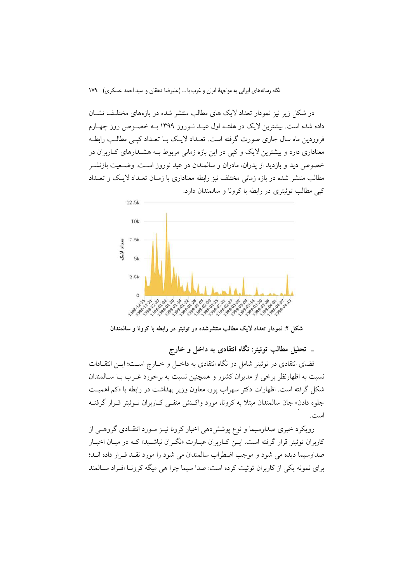در شکل زیر نیز نمودار تعداد لایک های مطالب منتشر شده در بازههای مختلـف نشــان داده شده است. بیشترین لایک در هفتــه اول عیــد نــوروز ۱۳۹۹ بــه خصــوص روز چهــارم فروردین ماه سال جاری صورت گرفته است. تعــداد لایــک بــا تعــداد کیــی مطالــب رابطــه معناداری دارد و بیشترین لایک و کیی در این بازه زمانی مربوط بـه هشــدارهای کــاربران در خصوص دید و بازدید از پدران، مادران و سالمندان در عید نوروز است. وضـعیت بازنشــر مطالب منتشر شده در بازه زمانی مختلف نیز رابطه معناداری با زمـان تعــداد لایــک و تعــداد کیے مطالب توئیتری در رابطه با کرونا و سالمندان دارد.



شکل ۲: نمودار تعداد لایک مطالب منتشرشده در توئیتر در رابطه با کرونا و سالمندان

\_ تحلیل مطالب توئیتر: نگاه انتقادی به داخل و خارج

فضای انتقادی در توئیتر شامل دو نگاه انتقادی به داخـل و خــارج اســت؛ ایــن انتقــادات نسبت به اظهارنظر برخی از مدیران کشور و همچنین نسبت به برخورد غـرب بــا ســالمندان شکل گرفته است. اظهارات دکتر سهراب یور، معاون وزیر بهداشت در رابطه با «کم اهمیت جلوه دادن» جان سالمندان مبتلاً به كرونا، مورد واكـنش منفـَّى كـاربران تــوئيتر قــرار گرفتــه اميدس

رویکرد خبری صداوسیما و نوع پوششدهی اخبار کرونا نیـز مـورد انتقـادی گروهـی از کاربران توئيتر قرار گرفته است. ايــن کــاربران عبــارت «نگــران نباشــيد» کــه در ميــان اخبــار صداوسيما ديده مي شود و موجب اضطراب سالمندان مي شود را مورد نقـد قـرار داده انـد؛ برای نمونه یکی از کاربران توئیت کرده است: صدا سیما چرا هی میگه کرونیا افیراد سیالمند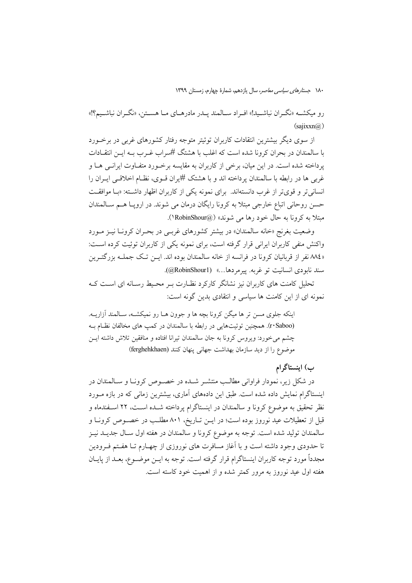رو میکشــه «نگــران نباشــید!» افــراد ســالمند پــدر مادرهــای مــا هســتن، «نگــران نباشــیم؟!»  $(saiixxn@)$ 

از سوی دیگر بیشترین انتقادات کاربران توئیتر متوجه رفتار کشورهای غربی در برخــورد با سالمندان در بحران کرونا شده است که اغلب با هشتگ #سراب غیرب بـه ایـن انتقـادات یرداخته شده است. در این میان، برخی از کاربران به مقایسه برخورد متفاوت ایرانسی هـا و غربی ها در رابطه با سالمندان برداخته اند و با هشتک #یران قــوی، نظــام اخلاقــی ایــران را انسانی تر و قویتر از غرب دانستهاند. برای نمونه یکی از کاربران اظهار داشته: «با موافقت حسن روحانی اتباع خارجی مبتلا به کرونا رایگان درمان می شوند. در اروپا هـم سـالمندان مبتلا به کرونا به حال خود رها می شوند» (@RobinShour).

وضعیت بغرنج «خانه سالمندان» در بیشتر کشورهای غربے در بحـران کرونــا نیــز مــورد واکنش منفی کاربران ایرانی قرار گرفته است، برای نمونه یکی از کاربران توئیت کرده است: «٨٨ نفر از قربانیان کرونا در فرانسه از خانه سالمندان بوده اند. ایــن تـک جملــه بزرگتــرین سند نابودي انسانيت تو غربه. ييرمردها...» (@RobinShour1).

تحلیل کامنت های کاربران نیز نشانگر کارکرد نظـارت بـر محـیط رسـانه ای اسـت کـه نمونه ای از این کامنت ها سیاسی و انتقادی بدین گونه است:

اینکه جلوی مسن تر ها میگن کرونا بچه ها و جوون هــا رو نمیکشــه، ســالمند آزاریــه. (r·Saboo). همچنین توئیتهایی در رابطه با سالمندان در کمپ های مخالفان نظام به چشم می خورد: ویروس کرونا به جان سالمندان تیرانا افتاده و منافقین تلاش داشته ایس موضوع را از دید سازمان بهداشت جهانی پنهان کنند (ferghehkhaen)

#### ب) اینستاگرام

در شکل زیر، نمودار فراوانی مطالب منتشـر شـده در خصـوص کرونـا و سـالمندان در اینستاگرام نمایش داده شده است. طبق این دادههای آماری، بیشترین زمانی که در بازه مـورد نظر تحقیق به موضوع کرونا و سالمندان در اینستاگرام پرداخته شــده اســت، ۲۲ اســفندماه و قبل از تعطیلات عید نوروز بوده است؛ در ایــن تــاریخ، ۸۰۱ مطلــب در خصــوص کرونــا و سالمندان تولید شده است. توجه به موضوع کرونا و سالمندان در هفته اول سـال جدیــد نیــز تا حدودی وجود داشته است و با آغاز مسافرت های نوروزی از چهـارم تــا هفـتم فــرودین مجدداً مورد توجه كاربران اينستاگرام قرار گرفته است. توجه به ايــن موضــوع، بعــد از پايــان هفته اول عید نوروز به مرور کمتر شده و از اهمیت خود کاسته است.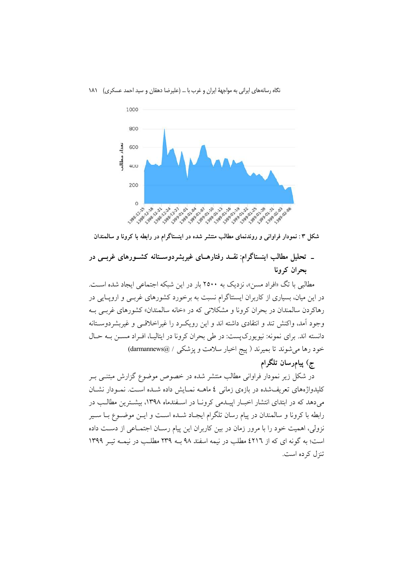نگاه رسانههای ایرانی به مواجههٔ ایران و غرب با … (علیرضا دهقان و سید احمد عسکری) ۱۸۱



شکل ۳: نمودار فراوانی و روندنمای مطالب منتشر شده در اینستاگرام در رابطه با کرونا و سالمندان

# ـ تحلیل مطالب اینستاگرام: نقــد رفتارهــای غیربشردوســتانه کشــورهای غربــی در یحران کرونا

مطالبي با تگ «افراد مسن»، نزديک به ۲۵۰۰ بار در اين شبکه اجتماعي ايجاد شده اسـت. در این میان، بسیاری از کاربران ایسنتاگرام نسبت به برخورد کشورهای غربـی و ارویــایی در رهاکردن سالمندان در بحران کرونا و مشکلاتی که در «خانه سالمندان» کشورهای غربـی بـه وجود آمد، واكنش تند و انتقادى داشته اند و اين رويك د را غيراخلاقـبي و غيربشردوســتانه دانسته اند. برای نمونه: نیویورکپست: در طی بحران کرونا در ایتالیـا، افـراد مســن بــه حــال خود رها می شوند تا بمیرند ( پیج اخبار سلامت و پزشکی / @darmannews)

### ج) پیامرسان تلگرام

در شکل زیر نمودار فراوانی مطالب منتشر شده در خصوص موضوع گزارش مبتنـی بـر کلیدواژههای تعریفشده در بازهی زمانی ٤ ماهــه نمــایش داده شــده اســت. نمــودار نشــان می دهد که در ابتدای انتشار اخبـار ایبـدمی کرونـا در اسـفندماه ۱۳۹۸، بیشـترین مطالـب در رابطه با کرونا و سالمندان در پیام رسان تلگرام ایجـاد شــده اســت و ایــن موضــوع بــا ســیر نزولی، اهمیت خود را با مرور زمان در بین کاربران این پیام رسـان اجتمـاعی از دسـت داده است؛ به گونه ای که از ٤٢١٦ مطلب در نیمه اسفند ٩٨ بـه ٢٣٩ مطلـب در نیمـه تیـر ١٣٩٩ تنزل کر ده است.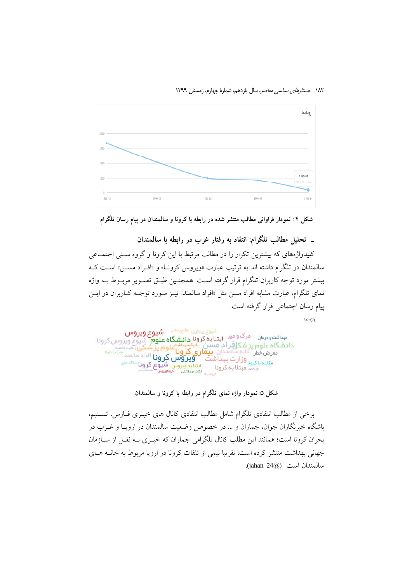۱۸۲ ج*ستارهای سیاسی معاصر*، سال یازدهم، شمارهٔ چهارم، زمستان ۱۳۹۹



شکل ۴ : نمودار فراوانی مطالب منتشر شده در رابطه با کرونا و سالمندان در پیام رسان تلگرام

### ـ تحليل مطالب تلگرام: انتقاد به رفتار غرب در رابطه با سالمندان

کلیدواژههای که بیشترین تکرار را در مطالب مرتبط با این کرونا و گروه سـنی اجتمــاعی سالمندان در تلگرام داشته اند به ترتیب عبارت «ویروس کرون)» و «اف راد مســـن» اسـت کــه بيشتر مورد توجه كاربران تلگرام قرار گرفته است. همچنـين طبــق تصــوير مربــوط بــه واژه نمای تلگرام، عبارت مشابه افراد مسن مثل «افراد سالمند» نیــز مــورد توجــه کــاربران در ایــن پیام رسان اجتماعی قرار گرفته است.

واژه نما

شيوع بيماري اطلع رسالي شيوع ويروس بیداشت و درمان مرگ و میر دارید است کرونا دانشگاه علوم شیوع ویروس کرونا دانشگاه علوم پزشکافراد مسن<br>میرون استفاده با استفاده با داده مسنی میگویند و میرونامهای بز<br>معرض خطر محلقه با استفاده ب**یماری کرونامه** ويروس كرونا افراد سالمند سرزه الموا برمن حمر<br><sub>مقابله با کرونا و**زارت ب**ہداشت محکومیوں شدوع کرونا <sup>ستاد ملی</sup><br>مقابله با کرمنا بلند کرونا میں تقصیداشی موقوموں منتخبات</sub>

شکل ۵: نمودار واژه نمای تلگرام در رابطه با کرونا و سالمندان

برخی از مطالب انتقادی تلگرام شامل مطالب انتقادی کانال های خبـری فــارس، تســنیم، باشگاه خبرنگاران جوان، جماران و … در خصوص وضعیت سالمندان در اروپـا و غــرب در بحران كرونا است؛ همانند اين مطلب كانال تلگرامي جماران كه خبـرى بــه نقــل از ســازمان جهانی بهداشت منتشر کرده است: تقریبا نیمی از تلفات کرونا در اروپا مربوط به خانــه هــای سالمندان است (jahan 24@).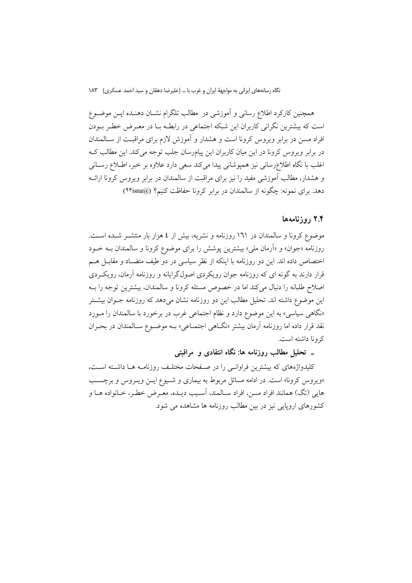همچنین کارکرد اطلاع رسانی و آموزشی در ًمطالب تلگرام نشــان دهنــده ایــن موضــوع است که بیشترین نگرانی کاربران این شبکه اجتماعی در رابطـه بــا در معــرض خطــر بــودن افراد مسن در برابر ویروس کرونا است و هشدار و آموزش لازم برای مراقبت از سـالمندان در برابر ویروس کرونا در این میان کاربران این پیامرسان جلب توجه می کند. این مطالب کـه اغلب با نگاه اطلاعرسانی نیز همیوشانی پیدا میکند سعی دارد علاوه بر خبر، اطـلاع رسـانی و هشدار، مطالب آموزشی مفید را نیز برای مراقبت از سالمندان در برابر ویروس کرونا ارائــه دهد. برای نمونه: چگونه از سالمندان در برابر کرونا حفاظت کنیم؟ (@٩۴isna)

#### ۲.۴ روزنامهها

موضوع کرونا و سالمندان در ۱٦۱ روزنامه و نشریه، بیش از ٤ هزار بار منتشــر شــده اســت. روزنامه «جوان» و «اَرمان ملي» بیشترین پوشش را برای موضوع کرونا و سالمندان بــه خــود اختصاص داده اند. این دو روزنامه با اینکه از نظر سیاسی در دو طیف متضـاد و مقابـل هــم قرار دارند به گونه ای که روزنامه جوان رویکردی اصولگرایانه و روزنامه آرمان، رویکردی اصلاح طلبانه را دنبال میکند اما در خصوص مسئله کرونا و سالمندان، بیشترین توجه را بـه این موضوع داشته اند. تحلیل مطالب این دو روزنامه نشان می دهد که روزنامه جــوان بیشــتر «نگاهی سیاسی» به این موضوع دارد و نظام اجتماعی غرب در برخورد با سالمندان را مــورد نقد قرار داده اما روزنامه آرمان بیشتر «نگــاهی اجتمــاعی» بــه موضــوع ســالمندان در بحــران که و نا داشته است.

۔ تحلیل مطالب روزنامه ها: نگاه انتقادی و ً مراقبتی

کلیدواژههای که بیشترین فراوانبی را در صفحات مختلـف روزنامـه هـا داشـته اسـت، «ویروس کرونا» است. در ادامه مسائل مربوط به بیماری و شـیوع ایـن ویـروس و برچسـب هايي (تگ) همانند افراد مسن، افراد سـالمند، آسـيب ديـده، معـرض خطـر، خـانواده هــا و کشورهای اروپایی نیز در بین مطالب روزنامه ها مشاهده می شود.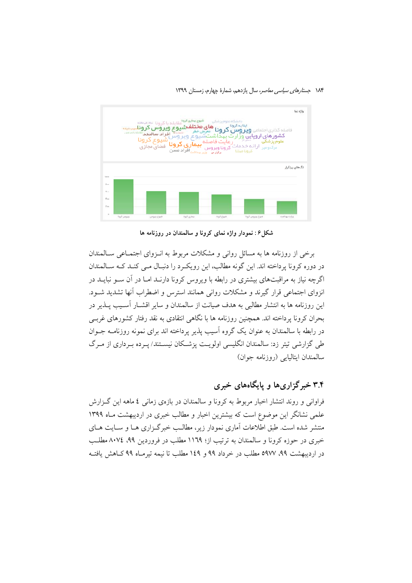۱۸۴ جستارهای سی*اسی معاصر*، سال یازدهم، شمارهٔ چهارم، زمستان ۱۳۹۹



شکل ۶: نمودار واژه نمای کرونا و سالمندان در روزنامه ها

برخی از روزنامه ها به مسائل روانی و مشکلات مربوط به انبزوای اجتمـاعی سـالمندان در دوره کرونا پرداخته اند. این گونه مطالب، این رویکرد را دنبال مـی کنـد کـه سـالمندان اگرچه نیاز به مراقبتهای بیشتری در رابطه با ویروس کرونا دارنـد امـا در آن سـو نبایــد در انزوای اجتماعی قرار گیرند و مشکلات روانی همانند استرس و اضطراب آنها تشدید شـود. این روزنامه ها به انتشار مطالبی به هدف صیانت از سالمندان و سایر اقشــار أســیب پـــذیر در بحران کرونا پرداخته اند. همچنین روزنامه ها با نگاهی انتقادی به نقد رفتار کشورهای غربـی در رابطه با سالمندان به عنوان یک گروه آسیب پذیر پرداخته اند برای نمونه روزنامــه جــوان طی گزارشی تیتر زد: سالمندان انگلیسی اولویـت پزشـکان نیسـتند/ پـرده بـرداری از مـرگ سالمندان ايتاليايي (روزنامه جوان)

# ۳.۴ خبرگزاریها و پایگاههای خبری

فراوانی و روند انتشار اخبار مربوط به کرونا و سالمندان در بازهی زمانی ٤ ماهه این گـزارش علمی نشانگر این موضوع است که بیشترین اخبار و مطالب خبری در اردیبهشت مـاه ۱۳۹۹ منتشر شده است. طبق اطلاعات آماری نمودار زیر، مطالب خبرگزاری هــا و ســایت هــای خبری در حوزه کرونا و سالمندان به ترتیب از؛ ۱۱۶۹ مطلب در فروردین ۹۹، ۸۰۷٤ مطلب در اردیبهشت ۹۹، ۵۹۷۷ مطلب در خرداد ۹۹ و ۱٤۹ مطلب تا نیمه تیرمـاه ۹۹ کــاهش یافتـه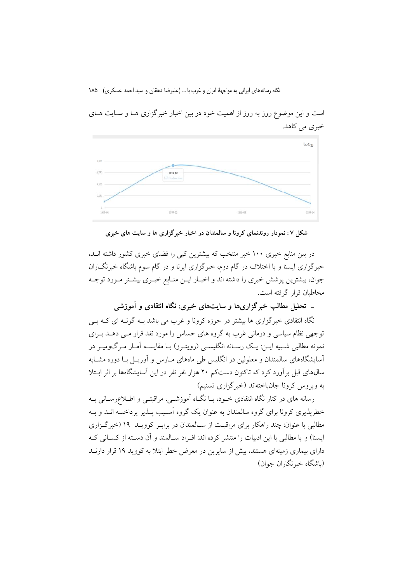

است و این موضوع روز به روز از اهمیت خود در بین اخبار خبر گزاری هـا و سـایت هـای خبري مي كاهد.

شکل ۷: نمودار روندنمای کرونا و سالمندان در اخبار خبرگزاری ها و سایت های خبری

در بین منابع خبری ۱۰۰ خبر منتخب که بیشترین کیی را فضای خبری کشور داشته انــد، خبرگزاری ایسنا و با اختلاف در گام دوم، خبرگزاری ایرنا و در گام سوم باشگاه خبرنگــاران جوان، بیشترین پوشش خبری را داشته اند و اخبـار ایـن منـابع خبـری بیشـتر مـورد توجـه مخاطبان قرار گرفته است.

ـ تحلیل مطالب خبرگزاریها و سایتهای خبری: نگاه انتقادی و آموزشی

نگاه انتقادی خبرگزاری ها بیشتر در حوزه کرونا و غرب می باشد بـه گونـه ای کـه بـی توجهی نظام سیاسی و درمانی غرب به گروه های حساس را مورد نقد قرار مـی دهــد بــرای .<br>نمونه مطالبي شـبيه ايــن: يـک رســانه انگليســي (رويتــرز) بــا مقايســه آمــار مــرگ0وميــر در آسایشگاههای سالمندان و معلولین در انگلیس طی ماههای مــارس و آوریــل بــا دوره مشــابه سال@ای قبل برآورد کرد که تاکنون دستکم ۲۰ هزار نفر نفر در این آسایشگاهها بر اثر ابـتلا به ویروس کرونا جانباختهاند (خبرگزاری تسنیم)

رسانه های در کنار نگاه انتقادی خـود، بـا نگـاه آموزشـی، مراقبتـی و اطـلاعرسـانی بـه خطرپذیری کرونا برای گروه سالمندان به عنوان یک گروه آسـیب پــذیر پرداختــه انــد و بــه مطالبی با عنوان: چند راهکار برای مراقبت از سـالمندان در برابـر کوویــد ۱۹ (خبرگـزاری ایسنا) و یا مطالبی با این ادبیات را منتشر کرده اند: افـراد سـالمند و آن دسـته از کسـانی کـه دارای بیماری زمینهای هستند، بیش از سایرین در معرض خطر ابتلا به کووید ۱۹ قرار دارنــد (باشگاه خبرنگاران جوان)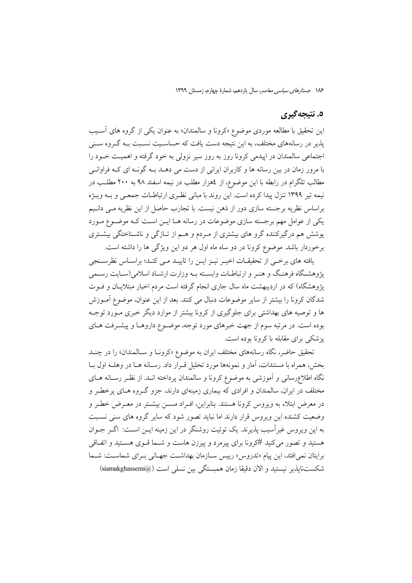#### ٥. نتيجه گيري

این تحقیق با مطالعه موردی موضوع «کرونا و سالمندان» به عنوان یکی از گروه های آسـیب یذیر در رسانههای مختلف، به این نتیجه دست یافت که حساسـیت نسـبت بــه گــروه ســنی اجتماعی سالمندان در ایبدمی کرونا روز به روز سبر نزولی به خود گرفته و اهمیت خیود را با مرور زمان در بین رسانه ها و کاربران ایرانی از دست می دهــد بــه گونــه ای کــه فراوانــی مطالب تلگرام در رابطه با این موضوع، از ٤هزار مطلب در نیمه اسفند ٩٨ به ٢٠٠ مطلـب در نیمه تیر ۱۳۹۹ تنزل پیدا کرده است. این روند با مبانی نظـری ارتباطـات جمعـی و بــه ویــژه براساس نظریه برجسته سازی دور از ذهن نیست. با تجارب حاصل از این نظریه مبی دانییم یکی از عوامل مهم برجسته سازی موضوعات در رسانه هـا ایــن اســت کـه موضــوع مــورد یوشش هم درگیرکننده گرو های بیشتری از مـردم و هـم از تــازگی و ناشــناختگی بیشــتری برخوردار باشد. موضوع کرونا در دو ساه ماه اول هر دو این ویژگی ها را داشته است.

یافته های برخبی از تحقیقـات اخیـر نیـز ایـن را تاییـد مـی کنـد؛ براسـاس نظرسـنجی یژوهشگاه فرهنگ و هنـر و ارتباطـات وابسـته بـه وزارت ارشـاد اسلامی(سـایت رسـمی یژوهشگاه) که در اردیبهشت ماه سال جاری انجام گرفته است مردم اخبار مبتلایـان و فــوت شدگان کرونا را بیشتر از سایر موضوعات دنبال می کنند. بعد از این عنوان، موضوع آمـوزش ها و توصیه های بهداشتی برای جلوگیری از کرونا بیشتر از موارد دیگر خبری مـورد توجـه بوده است. در مرتبه سوم از جهت خبرهای مورد توجه، موضـوع داروهـا و پیشـرفت هـای یزشکی برای مقابله با کرونا بوده است.

تحقیق حاضر، نگاه رسانههای مختلف ایران به موضوع «کرونـا و سـالمندان» را در چنـد بخش، همراه با مستندات، آمار و نمونهها مورد تحلیل قـرار داد. رسـانه هـا در وهلــه اول بــا نگاه اطلاعرسانی و آموزشی به موضوع کرونا و سالمندان پرداخته انــد. از نظـر رســانه هــای مختلف در ایران، سالمندان و افرادی که بیماری زمینهای دارند، جزو گـروه هـای یرخطـر و در معرض ابتلاء به ویروس کرونا هستند. بنابراین، افـراد مســن بیشــتر در معــرض خطــر و وضعیت کشنده این ویروس قرار دارند اما نباید تصور شود که سایر گروه های سنی نسبت به این ویروس غیر آسیب پذیرند. یک توئیت روشنگر در این زمینه ایــن اســت: اگــر جــوان هستید و تصور می کنید #کرونا برای پیرمرد و پیرزن هاست و شــما قــوی هســتید و اتفــاقی برايتان نمي افتد، اين پيام «تدروس» رييس سازمان بهداشت جهاني بـراي شماسـت: شـما شكستنايذير نيستيد و الان دقيقا زمان همبستگي بين نسلم است (@siamakghassemi)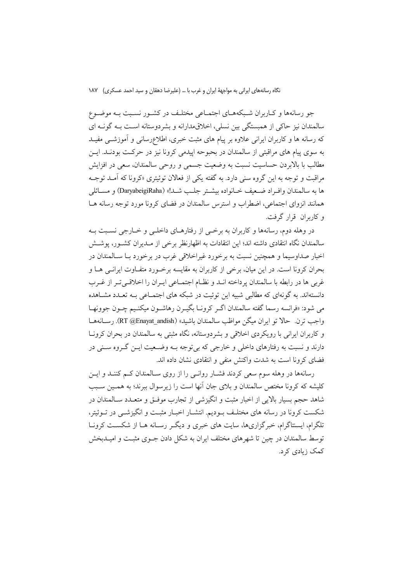جو رسانهها و کـاربران شـبکههـای اجتمـاعی مختلـف در کشـور نسـبت بـه موضـوع سالمندان نيز حاكي از همبستگي بين نسلي، اخلاقىمدارانه و بشردوستانه است بـه گونــه اي که رسانه ها و کاربران ایرانی علاوه بر پیام های مثبت خبری، اطلاعرسانی و آموزشــی مفیــد به سوی پیام های مراقبتی از سالمندان در بحبوحه ایپدمی کرونا نیز در حرکت بودنـد. ایــن مطالب با بالابردن حساسیت نسبت به وضعیت جسمی و روحی سالمندان، سعی در افزایش مراقبت و توجه به این گروه سنی دارد. به گفته یکی از فعالان توئیتری «کرونا که آمـد توجـه ها به سالمندان وافـراد ضـعيف خــانواده بيشــتر جلـب شــد!» (DaryabeigiRaha) و مســائلي همانند انزوای اجتماعی، اضطراب و استرس سالمندان در فضای کرونا مورد توجه رسانه هـا و کاربران قرار گرفت.

در وهله دوم، رسانهها و كاربران به برخمي از رفتارهـاي داخلـي و خــارجي نسـبت بــه سالمندان نگاه انتقادی داشته اند؛ این انتقادات به اظهارنظر برخی از مـدیران کشــور، پوشــش اخبار صداوسیما و همچنین نسبت به برخورد غیراخلاقی غرب در برخورد بـا سـالمندان در بحران کرونا است. در این میان، برخی از کاربران به مقایسه برخـورد متفـاوت ایرانــی هــا و غربی ها در رابطه با سالمندان پرداخته انــد و نظــام اجتمــاعی ايــران را اخلاقــیتــر از غــرب دانستهاند. به گونهای که مطالبی شبیه این توئیت در شبکه های اجتمـاعی بـه تعـدد مشـاهده مي شود: «فرانسه رسما گفته سالمندان اگـر كرونــا بگيــرن رهاشــون ميكنـيم چــون جوونهــا واجب ترن. حالا تو ايران ميگن مواظب سالمندان باشيد» (RT @Enayat\_andish). رســانههــا و کاربران ایرانی با رویکردی اخلاقی و بشردوستانه، نگاه مثبتی به سالمندان در بحران کرونـا دارند و نسبت به رفتارهای داخلی و خارجی که بی توجه بـه وضـعیت ایــن گـروه ســنی در فضای کرونا است به شدت واکنش منفی و انتقادی نشان داده اند.

رسانهها در وهله سوم سعی کردند فشـار روانـی را از روی سـالمندان کـم کننـد و ايـن کلیشه که کرونا مختص سالمندان و بلای جان آنها است را زیرسوال ببرند؛ به همـین سـبب شاهد حجم بسیار بالایی از اخبار مثبت و انگیزشی از تجارب موفـق و متعــدد ســالمندان در شکست کرونا در رسانه های مختلـف بــودیم. انتشــار اخبــار مثبــت و انگیزشــی در تــوئیتر، تلگرام، ایستتاگرام، خبرگزاریها، سایت های خبری و دیگ رسانه هـا از شکسـت کرونـا توسط سالمندان در چین تا شهرهای مختلف ایران به شکل دادن جـوی مثبـت و امیــدبخش کمک زیادی کرد.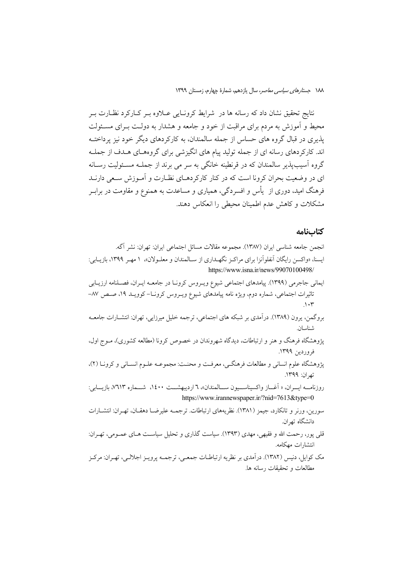نتایج تحقیق نشان داد که رسانه ها در شرایط کرونــایی عـــلاوه بــر کــارکرد نظــارت بــر محیط و آموزش به مردم برای مراقبت از خود و جامعه و هشدار به دولت بـرای مسـئولت یذیری در قبال گروه های حساس از جمله سالمندان، به کارکردهای دیگر خود نیز پرداختــه اند. کارکردهای رسانه ای از جمله تولید پیام های انگیزشی برای گروههای هـدف از جملـه گروه آسیب،یذیر سالمندان که در قرنطینه خانگی به سر می برند از جملــه مســئولیت رســانه ای در وضعیت بحران کرونا است که در کنار کارکردهـای نظـارت و آمـوزش سـعی دارنــد فرهنگ امید، دوری از یأس و افسردگی، همیاری و مساعدت به همنوع و مقاومت در برابـر مشکلات و کاهش عدم اطمینان محیطی را انعکاس دهند.

#### كتابنامه

مطالعات و تحقیقات رسانه ها.

انجمن جامعه شناسی ایران (١٣٨٧). مجموعه مقالات مسائل اجتماعی ایران: تهران: نشر آگه. ایسنا، «واکسن رایگان آنفلوآنزا برای مراکـز نگهـداری از سـالمندان و معلــولان»، ۱ مهـر ۱۳۹۹، بازیــابی: https://www.isna.ir/news/99070100498/ ایمانی جاجرمی (۱۳۹۹). پیامدهای اجتماعی شیوع ویـروس کرونـا در جامعـه ایـران، فصـلنامه ارزیـابی تاثیرات اجتماعی، شماره دوم، ویژه نامه پیامدهای شیوع ویــروس کرونــا–کوویــد ۱۹، صــص ۸۷–  $\Lambda \cdot \tau$ بروگمن، یرون (۱۳۸۹). درآمدی بر شبکه های اجتماعی، ترجمه خلیل میرزایی، تهران: انتشـارات جامعــه شناسان. پژوهشگاه فرهنگ و هنر و ارتباطات، دیدگاه شهروندان در خصوص کرونا (مطالعه کشوری)، مـوج اول، فروردين ١٣٩٩. پژوهشگاه علوم انسانی و مطالعات فرهنگـی، معرفـت و محنـت: مجموعـه علـوم انسـانی و کرونــا (٢). تھ ان: ١٣٩٩. روزنامــه ايـــران، « اَغـــاز واكسيناســـيون ســـالمندان»، ٦ ارديبهشـــت ١٤٠٠، شـــماره ٧٦١٣، بازيـــابي: https://www.irannewspaper.ir/?nid=7613&type=0 سورین، ورنر و تانکارد، جیمز (۱۳۸۱). نظریههای ارتباطات. ترجمـه علیرضـا دهقـان، تهـران: انتشـارات دانشگاه ته ان قلي يور، رحمت الله و فقيهي، مهدي (١٣٩٣). سياست گذاري و تحليل سياســت هــاي عمــومي، تهــران: انتشارات مهكامه. مک کوایل، دنیس (۱۳۸۲). درآمدی بر نظریه ارتباطــات جمعــی، ترجمــه پرویــز اجلالــی، تهــران: مرکــز